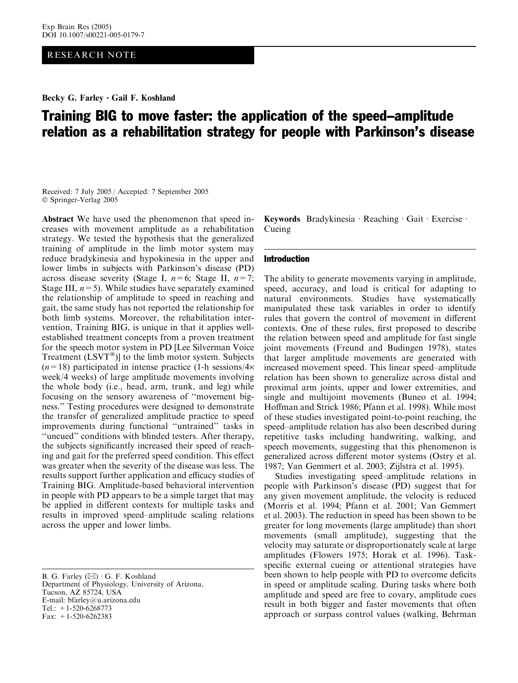## RESEARCH NOTE

Becky G. Farley . Gail F. Koshland

# Training BIG to move faster: the application of the speed–amplitude relation as a rehabilitation strategy for people with Parkinson's disease

Received: 7 July 2005 / Accepted: 7 September 2005 Springer-Verlag 2005

Abstract We have used the phenomenon that speed increases with movement amplitude as a rehabilitation strategy. We tested the hypothesis that the generalized training of amplitude in the limb motor system may reduce bradykinesia and hypokinesia in the upper and lower limbs in subjects with Parkinson's disease (PD) across disease severity (Stage I,  $n=6$ ; Stage II,  $n=7$ ; Stage III,  $n=5$ ). While studies have separately examined the relationship of amplitude to speed in reaching and gait, the same study has not reported the relationship for both limb systems. Moreover, the rehabilitation intervention, Training BIG, is unique in that it applies wellestablished treatment concepts from a proven treatment for the speech motor system in PD [Lee Silverman Voice Treatment (LSVT®)] to the limb motor system. Subjects  $(n=18)$  participated in intense practice (1-h sessions/4 $\times$ week/4 weeks) of large amplitude movements involving the whole body (i.e., head, arm, trunk, and leg) while focusing on the sensory awareness of ''movement bigness.'' Testing procedures were designed to demonstrate the transfer of generalized amplitude practice to speed improvements during functional ''untrained'' tasks in ''uncued'' conditions with blinded testers. After therapy, the subjects significantly increased their speed of reaching and gait for the preferred speed condition. This effect was greater when the severity of the disease was less. The results support further application and efficacy studies of Training BIG. Amplitude-based behavioral intervention in people with PD appears to be a simple target that may be applied in different contexts for multiple tasks and results in improved speed–amplitude scaling relations across the upper and lower limbs.

B. G. Farley  $(\boxtimes) \cdot$  G. F. Koshland Department of Physiology, University of Arizona, Tucson, AZ 85724, USA E-mail: bfarley@u.arizona.edu Tel.: +1-520-6268773 Fax: +1-520-6262383

Keywords Bradykinesia · Reaching · Gait · Exercise · Cueing

#### Introduction

The ability to generate movements varying in amplitude, speed, accuracy, and load is critical for adapting to natural environments. Studies have systematically manipulated these task variables in order to identify rules that govern the control of movement in different contexts. One of these rules, first proposed to describe the relation between speed and amplitude for fast single joint movements (Freund and Budingen 1978), states that larger amplitude movements are generated with increased movement speed. This linear speed–amplitude relation has been shown to generalize across distal and proximal arm joints, upper and lower extremities, and single and multijoint movements (Buneo et al. 1994; Hoffman and Strick 1986; Pfann et al. 1998). While most of these studies investigated point-to-point reaching, the speed–amplitude relation has also been described during repetitive tasks including handwriting, walking, and speech movements, suggesting that this phenomenon is generalized across different motor systems (Ostry et al. 1987; Van Gemmert et al. 2003; Zijlstra et al. 1995).

Studies investigating speed–amplitude relations in people with Parkinson's disease (PD) suggest that for any given movement amplitude, the velocity is reduced (Morris et al. 1994; Pfann et al. 2001; Van Gemmert et al. 2003). The reduction in speed has been shown to be greater for long movements (large amplitude) than short movements (small amplitude), suggesting that the velocity may saturate or disproportionately scale at large amplitudes (Flowers 1975; Horak et al. 1996). Taskspecific external cueing or attentional strategies have been shown to help people with PD to overcome deficits in speed or amplitude scaling. During tasks where both amplitude and speed are free to covary, amplitude cues result in both bigger and faster movements that often approach or surpass control values (walking, Behrman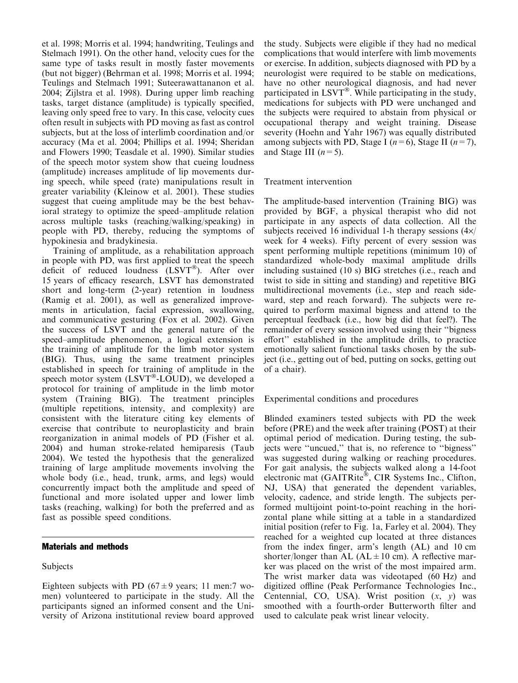et al. 1998; Morris et al. 1994; handwriting, Teulings and Stelmach 1991). On the other hand, velocity cues for the same type of tasks result in mostly faster movements (but not bigger) (Behrman et al. 1998; Morris et al. 1994; Teulings and Stelmach 1991; Suteerawattananon et al. 2004; Zijlstra et al. 1998). During upper limb reaching tasks, target distance (amplitude) is typically specified, leaving only speed free to vary. In this case, velocity cues often result in subjects with PD moving as fast as control subjects, but at the loss of interlimb coordination and/or accuracy (Ma et al. 2004; Phillips et al. 1994; Sheridan and Flowers 1990; Teasdale et al. 1990). Similar studies of the speech motor system show that cueing loudness (amplitude) increases amplitude of lip movements during speech, while speed (rate) manipulations result in greater variability (Kleinow et al. 2001). These studies suggest that cueing amplitude may be the best behavioral strategy to optimize the speed–amplitude relation across multiple tasks (reaching/walking/speaking) in people with PD, thereby, reducing the symptoms of hypokinesia and bradykinesia.

Training of amplitude, as a rehabilitation approach in people with PD, was first applied to treat the speech deficit of reduced loudness (LSVT®). After over 15 years of efficacy research, LSVT has demonstrated short and long-term (2-year) retention in loudness (Ramig et al. 2001), as well as generalized improvements in articulation, facial expression, swallowing, and communicative gesturing (Fox et al. 2002). Given the success of LSVT and the general nature of the speed–amplitude phenomenon, a logical extension is the training of amplitude for the limb motor system (BIG). Thus, using the same treatment principles established in speech for training of amplitude in the speech motor system  $(LSVT^{\circledast} - LOUD)$ , we developed a protocol for training of amplitude in the limb motor system (Training BIG). The treatment principles (multiple repetitions, intensity, and complexity) are consistent with the literature citing key elements of exercise that contribute to neuroplasticity and brain reorganization in animal models of PD (Fisher et al. 2004) and human stroke-related hemiparesis (Taub 2004). We tested the hypothesis that the generalized training of large amplitude movements involving the whole body (i.e., head, trunk, arms, and legs) would concurrently impact both the amplitude and speed of functional and more isolated upper and lower limb tasks (reaching, walking) for both the preferred and as fast as possible speed conditions.

## Materials and methods

### Subjects

Eighteen subjects with PD  $(67 \pm 9 \text{ years}; 11 \text{ men}$ :7 women) volunteered to participate in the study. All the participants signed an informed consent and the University of Arizona institutional review board approved

the study. Subjects were eligible if they had no medical complications that would interfere with limb movements or exercise. In addition, subjects diagnosed with PD by a neurologist were required to be stable on medications, have no other neurological diagnosis, and had never participated in LSVT<sup>®</sup>. While participating in the study, medications for subjects with PD were unchanged and the subjects were required to abstain from physical or occupational therapy and weight training. Disease severity (Hoehn and Yahr 1967) was equally distributed among subjects with PD, Stage I ( $n=6$ ), Stage II ( $n=7$ ), and Stage III  $(n=5)$ .

#### Treatment intervention

The amplitude-based intervention (Training BIG) was provided by BGF, a physical therapist who did not participate in any aspects of data collection. All the subjects received 16 individual 1-h therapy sessions  $(4\times)$ week for 4 weeks). Fifty percent of every session was spent performing multiple repetitions (minimum 10) of standardized whole-body maximal amplitude drills including sustained (10 s) BIG stretches (i.e., reach and twist to side in sitting and standing) and repetitive BIG multidirectional movements (i.e., step and reach sideward, step and reach forward). The subjects were required to perform maximal bigness and attend to the perceptual feedback (i.e., how big did that feel?). The remainder of every session involved using their ''bigness effort'' established in the amplitude drills, to practice emotionally salient functional tasks chosen by the subject (i.e., getting out of bed, putting on socks, getting out of a chair).

Experimental conditions and procedures

Blinded examiners tested subjects with PD the week before (PRE) and the week after training (POST) at their optimal period of medication. During testing, the subjects were ''uncued,'' that is, no reference to ''bigness'' was suggested during walking or reaching procedures. For gait analysis, the subjects walked along a 14-foot electronic mat (GAITRite®, CIR Systems Inc., Clifton, NJ, USA) that generated the dependent variables, velocity, cadence, and stride length. The subjects performed multijoint point-to-point reaching in the horizontal plane while sitting at a table in a standardized initial position (refer to Fig. 1a, Farley et al. 2004). They reached for a weighted cup located at three distances from the index finger, arm's length (AL) and 10 cm shorter/longer than AL ( $AL \pm 10$  cm). A reflective marker was placed on the wrist of the most impaired arm. The wrist marker data was videotaped (60 Hz) and digitized offline (Peak Performance Technologies Inc., Centennial, CO, USA). Wrist position  $(x, y)$  was smoothed with a fourth-order Butterworth filter and used to calculate peak wrist linear velocity.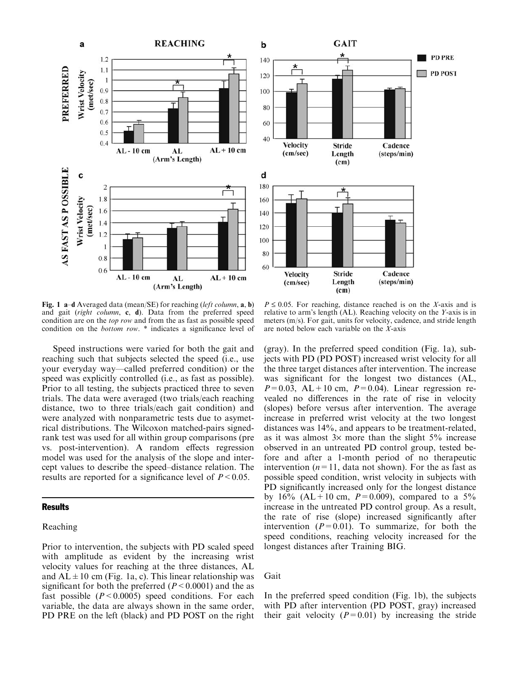



Fig. 1 a–d Averaged data (mean/SE) for reaching (*left column*, a, b) and gait (right column, c, d). Data from the preferred speed condition are on the *top row* and from the as fast as possible speed condition on the bottom row. \* indicates a significance level of

Speed instructions were varied for both the gait and reaching such that subjects selected the speed (i.e., use your everyday way—called preferred condition) or the speed was explicitly controlled (i.e., as fast as possible). Prior to all testing, the subjects practiced three to seven trials. The data were averaged (two trials/each reaching distance, two to three trials/each gait condition) and were analyzed with nonparametric tests due to asymetrical distributions. The Wilcoxon matched-pairs signedrank test was used for all within group comparisons (pre vs. post-intervention). A random effects regression model was used for the analysis of the slope and intercept values to describe the speed–distance relation. The results are reported for a significance level of  $P < 0.05$ .

#### Results

## Reaching

Prior to intervention, the subjects with PD scaled speed with amplitude as evident by the increasing wrist velocity values for reaching at the three distances, AL and  $AL \pm 10$  cm (Fig. 1a, c). This linear relationship was significant for both the preferred  $(P < 0.0001)$  and the as fast possible  $(P<0.0005)$  speed conditions. For each variable, the data are always shown in the same order, PD PRE on the left (black) and PD POST on the right

 $P \le 0.05$ . For reaching, distance reached is on the X-axis and is relative to arm's length (AL). Reaching velocity on the Y-axis is in meters (m/s). For gait, units for velocity, cadence, and stride length are noted below each variable on the X-axis

(gray). In the preferred speed condition (Fig. 1a), subjects with PD (PD POST) increased wrist velocity for all the three target distances after intervention. The increase was significant for the longest two distances (AL,  $P=0.03$ , AL + 10 cm,  $P=0.04$ ). Linear regression revealed no differences in the rate of rise in velocity (slopes) before versus after intervention. The average increase in preferred wrist velocity at the two longest distances was 14%, and appears to be treatment-related, as it was almost  $3\times$  more than the slight  $5\%$  increase observed in an untreated PD control group, tested before and after a 1-month period of no therapeutic intervention ( $n=11$ , data not shown). For the as fast as possible speed condition, wrist velocity in subjects with PD significantly increased only for the longest distance by  $16\%$  (AL + 10 cm,  $P = 0.009$ ), compared to a  $5\%$ increase in the untreated PD control group. As a result, the rate of rise (slope) increased significantly after intervention  $(P=0.01)$ . To summarize, for both the speed conditions, reaching velocity increased for the longest distances after Training BIG.

#### Gait

In the preferred speed condition (Fig. 1b), the subjects with PD after intervention (PD POST, gray) increased their gait velocity  $(P=0.01)$  by increasing the stride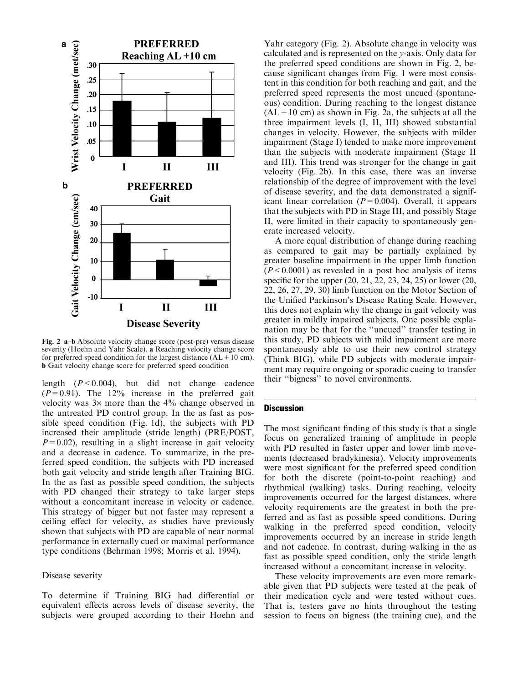

Fig. 2 a–b Absolute velocity change score (post-pre) versus disease severity (Hoehn and Yahr Scale). a Reaching velocity change score for preferred speed condition for the largest distance  $(AL+10 \text{ cm})$ . b Gait velocity change score for preferred speed condition

length  $(P<0.004)$ , but did not change cadence  $(P=0.91)$ . The 12% increase in the preferred gait velocity was  $3\times$  more than the  $4\%$  change observed in the untreated PD control group. In the as fast as possible speed condition (Fig. 1d), the subjects with PD increased their amplitude (stride length) (PRE/POST,  $P=0.02$ ), resulting in a slight increase in gait velocity and a decrease in cadence. To summarize, in the preferred speed condition, the subjects with PD increased both gait velocity and stride length after Training BIG. In the as fast as possible speed condition, the subjects with PD changed their strategy to take larger steps without a concomitant increase in velocity or cadence. This strategy of bigger but not faster may represent a ceiling effect for velocity, as studies have previously shown that subjects with PD are capable of near normal performance in externally cued or maximal performance type conditions (Behrman 1998; Morris et al. 1994).

#### Disease severity

To determine if Training BIG had differential or equivalent effects across levels of disease severity, the subjects were grouped according to their Hoehn and

Yahr category (Fig. 2). Absolute change in velocity was calculated and is represented on the y-axis. Only data for the preferred speed conditions are shown in Fig. 2, because significant changes from Fig. 1 were most consistent in this condition for both reaching and gait, and the preferred speed represents the most uncued (spontaneous) condition. During reaching to the longest distance  $(AL+10 \text{ cm})$  as shown in Fig. 2a, the subjects at all the three impairment levels (I, II, III) showed substantial changes in velocity. However, the subjects with milder impairment (Stage I) tended to make more improvement than the subjects with moderate impairment (Stage II and III). This trend was stronger for the change in gait velocity (Fig. 2b). In this case, there was an inverse relationship of the degree of improvement with the level of disease severity, and the data demonstrated a significant linear correlation ( $P=0.004$ ). Overall, it appears that the subjects with PD in Stage III, and possibly Stage II, were limited in their capacity to spontaneously generate increased velocity.

A more equal distribution of change during reaching as compared to gait may be partially explained by greater baseline impairment in the upper limb function  $(P<0.0001)$  as revealed in a post hoc analysis of items specific for the upper (20, 21, 22, 23, 24, 25) or lower (20, 22, 26, 27, 29, 30) limb function on the Motor Section of the Unified Parkinson's Disease Rating Scale. However, this does not explain why the change in gait velocity was greater in mildly impaired subjects. One possible explanation may be that for the ''uncued'' transfer testing in this study, PD subjects with mild impairment are more spontaneously able to use their new control strategy (Think BIG), while PD subjects with moderate impairment may require ongoing or sporadic cueing to transfer their ''bigness'' to novel environments.

#### **Discussion**

The most significant finding of this study is that a single focus on generalized training of amplitude in people with PD resulted in faster upper and lower limb movements (decreased bradykinesia). Velocity improvements were most significant for the preferred speed condition for both the discrete (point-to-point reaching) and rhythmical (walking) tasks. During reaching, velocity improvements occurred for the largest distances, where velocity requirements are the greatest in both the preferred and as fast as possible speed conditions. During walking in the preferred speed condition, velocity improvements occurred by an increase in stride length and not cadence. In contrast, during walking in the as fast as possible speed condition, only the stride length increased without a concomitant increase in velocity.

These velocity improvements are even more remarkable given that PD subjects were tested at the peak of their medication cycle and were tested without cues. That is, testers gave no hints throughout the testing session to focus on bigness (the training cue), and the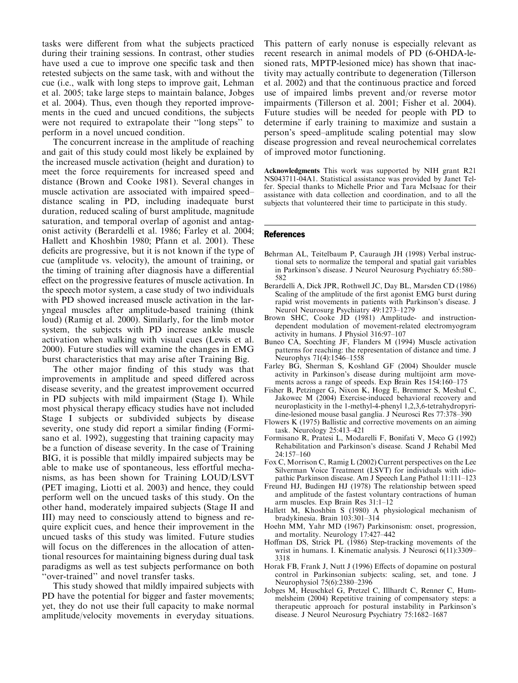tasks were different from what the subjects practiced during their training sessions. In contrast, other studies have used a cue to improve one specific task and then retested subjects on the same task, with and without the cue (i.e., walk with long steps to improve gait, Lehman et al. 2005; take large steps to maintain balance, Jobges et al. 2004). Thus, even though they reported improvements in the cued and uncued conditions, the subjects were not required to extrapolate their ''long steps'' to perform in a novel uncued condition.

The concurrent increase in the amplitude of reaching and gait of this study could most likely be explained by the increased muscle activation (height and duration) to meet the force requirements for increased speed and distance (Brown and Cooke 1981). Several changes in muscle activation are associated with impaired speed– distance scaling in PD, including inadequate burst duration, reduced scaling of burst amplitude, magnitude saturation, and temporal overlap of agonist and antagonist activity (Berardelli et al. 1986; Farley et al. 2004; Hallett and Khoshbin 1980; Pfann et al. 2001). These deficits are progressive, but it is not known if the type of cue (amplitude vs. velocity), the amount of training, or the timing of training after diagnosis have a differential effect on the progressive features of muscle activation. In the speech motor system, a case study of two individuals with PD showed increased muscle activation in the laryngeal muscles after amplitude-based training (think loud) (Ramig et al. 2000). Similarly, for the limb motor system, the subjects with PD increase ankle muscle activation when walking with visual cues (Lewis et al. 2000). Future studies will examine the changes in EMG burst characteristics that may arise after Training Big.

The other major finding of this study was that improvements in amplitude and speed differed across disease severity, and the greatest improvement occurred in PD subjects with mild impairment (Stage I). While most physical therapy efficacy studies have not included Stage I subjects or subdivided subjects by disease severity, one study did report a similar finding (Formisano et al. 1992), suggesting that training capacity may be a function of disease severity. In the case of Training BIG, it is possible that mildly impaired subjects may be able to make use of spontaneous, less effortful mechanisms, as has been shown for Training LOUD/LSVT (PET imaging, Liotti et al. 2003) and hence, they could perform well on the uncued tasks of this study. On the other hand, moderately impaired subjects (Stage II and III) may need to consciously attend to bigness and require explicit cues, and hence their improvement in the uncued tasks of this study was limited. Future studies will focus on the differences in the allocation of attentional resources for maintaining bigness during dual task paradigms as well as test subjects performance on both ''over-trained'' and novel transfer tasks.

This study showed that mildly impaired subjects with PD have the potential for bigger and faster movements; yet, they do not use their full capacity to make normal amplitude/velocity movements in everyday situations. This pattern of early nonuse is especially relevant as recent research in animal models of PD (6-OHDA-lesioned rats, MPTP-lesioned mice) has shown that inactivity may actually contribute to degeneration (Tillerson et al. 2002) and that the continuous practice and forced use of impaired limbs prevent and/or reverse motor impairments (Tillerson et al. 2001; Fisher et al. 2004). Future studies will be needed for people with PD to determine if early training to maximize and sustain a person's speed–amplitude scaling potential may slow disease progression and reveal neurochemical correlates of improved motor functioning.

Acknowledgments This work was supported by NIH grant R21 NS043711-04A1. Statistical assistance was provided by Janet Telfer. Special thanks to Michelle Prior and Tara McIsaac for their assistance with data collection and coordination, and to all the subjects that volunteered their time to participate in this study.

#### References

- Behrman AL, Teitelbaum P, Cauraugh JH (1998) Verbal instructional sets to normalize the temporal and spatial gait variables in Parkinson's disease. J Neurol Neurosurg Psychiatry 65:580– 582
- Berardelli A, Dick JPR, Rothwell JC, Day BL, Marsden CD (1986) Scaling of the amplitude of the first agonist EMG burst during rapid wrist movements in patients with Parkinson's disease. J Neurol Neurosurg Psychiatry 49:1273–1279
- Brown SHC, Cooke JD (1981) Amplitude- and instructiondependent modulation of movement-related electromyogram activity in humans. J Physiol 316:97–107
- Buneo CA, Soechting JF, Flanders M (1994) Muscle activation patterns for reaching: the representation of distance and time. J Neurophys 71(4):1546–1558
- Farley BG, Sherman S, Koshland GF (2004) Shoulder muscle activity in Parkinson's disease during multijoint arm movements across a range of speeds. Exp Brain Res 154:160–175
- Fisher B, Petzinger G, Nixon K, Hogg E, Bremmer S, Meshul C, Jakowec M (2004) Exercise-induced behavioral recovery and neuroplasticity in the 1-methyl-4-phenyl 1,2,3,6-tetrahydropyridine-lesioned mouse basal ganglia. J Neurosci Res 77:378–390
- Flowers K (1975) Ballistic and corrective movements on an aiming task. Neurology 25:413–421
- Formisano R, Pratesi L, Modarelli F, Bonifati V, Meco G (1992) Rehabilitation and Parkinson's disease. Scand J Rehabil Med 24:157–160
- Fox C, Morrison C, Ramig L (2002) Current perspectives on the Lee Silverman Voice Treatment (LSVT) for individuals with idiopathic Parkinson disease. Am J Speech Lang Pathol 11:111–123
- Freund HJ, Budingen HJ (1978) The relationship between speed and amplitude of the fastest voluntary contractions of human arm muscles. Exp Brain Res 31:1–12
- Hallett M, Khoshbin S (1980) A physiological mechanism of bradykinesia. Brain 103:301–314
- Hoehn MM, Yahr MD (1967) Parkinsonism: onset, progression, and mortality. Neurology 17:427–442
- Hoffman DS, Strick PL (1986) Step-tracking movements of the wrist in humans. I. Kinematic analysis. J Neurosci 6(11):3309– 3318
- Horak FB, Frank J, Nutt J (1996) Effects of dopamine on postural control in Parkinsonian subjects: scaling, set, and tone. J Neurophysiol 75(6):2380–2396
- Jobges M, Heuschkel G, Pretzel C, Illhardt C, Renner C, Hummelsheim (2004) Repetitive training of compensatory steps: a therapeutic approach for postural instability in Parkinson's disease. J Neurol Neurosurg Psychiatry 75:1682–1687